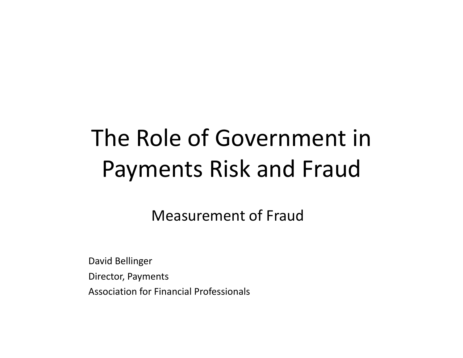# The Role of Government in Payments Risk and Fraud

Measurement of Fraud

David Bellinger Director, Payments Association for Financial Professionals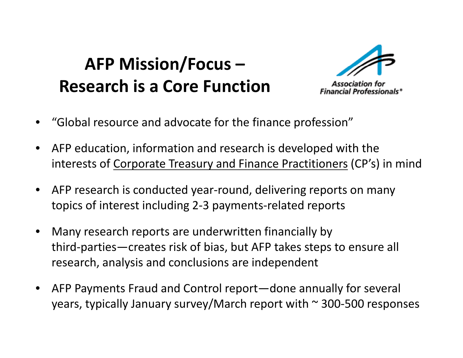# **AFP Mission/Focus – Research is a Core Function**



- Association fo **Financial Professionals\***
- •"Global resource and advocate for the finance profession"
- • AFP education, information and research is developed with the interests of <u>Corporate Treasury and Finance Practitioners</u> (CP's) in mind
- $\bullet$  AFP research is conducted year‐round, delivering reports on many topics of interest including 2-3 payments-related reports
- • Many research reports are underwritten financially by third-parties—creates risk of bias, but AFP takes steps to ensure all research, analysis and conclusions are independent
- $\bullet$  AFP Payments Fraud and Control report—done annually for several years, typically January survey/March report with  $\sim$  300-500 responses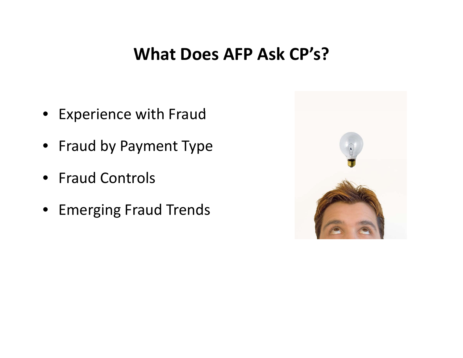#### **What Does AFP Ask CP's?**

- Experience with Fraud
- Fraud by Payment Type
- Fraud Controls
- Emerging Fraud Trends

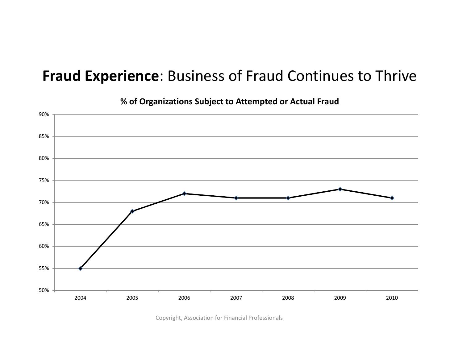#### **Fraud Experience**: Business of Fraud Continues to Thrive



**% of Organizations Subject to Attempted or Actual Fraud**

Copyright, Association for Financial Professionals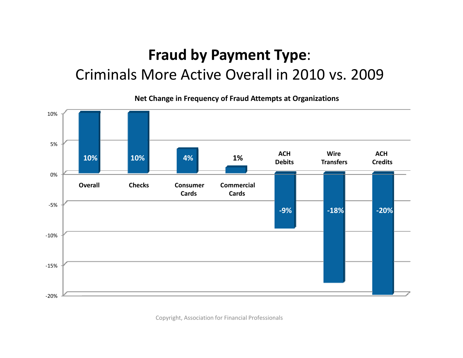### **Fraud by Payment Type**: Criminals More Active Overall in 2010 vs. 2009

**Net Change in Frequency of Fraud Attempts at Organizations**

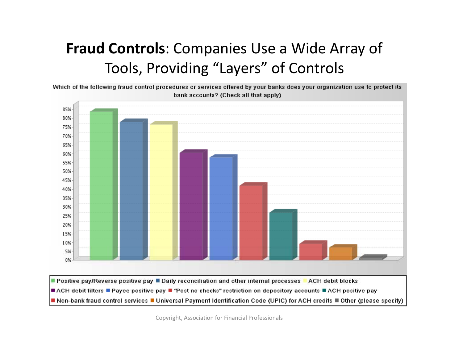#### **Fraud Controls**: Companies Use <sup>a</sup> Wide Array of Tools, Providing "Layers" of Controls

Which of the following fraud control procedures or services offered by your banks does your organization use to protect its bank accounts? (Check all that apply)



Copyright, Association for Financial Professionals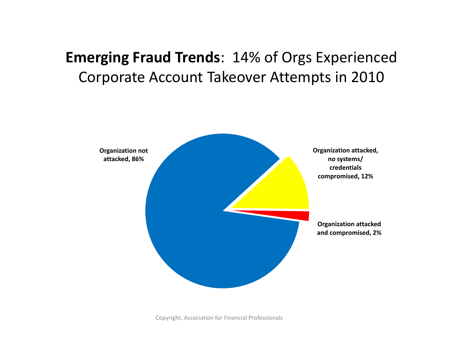#### **Emerging Fraud Trends**: 14% of Orgs Experienced Corporate Account Takeover Attempts in 2010



Copyright, Association for Financial Professionals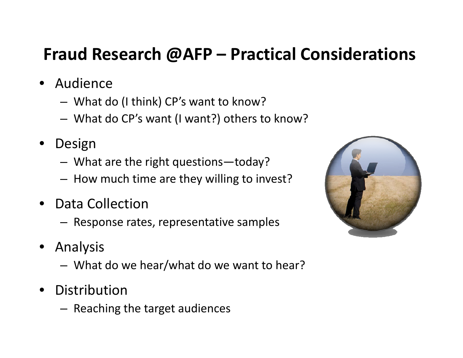## **Fraud Research @AFP – Practical Considerations**

- Audience
	- –What do (I think) CP's want to know?
	- –What do CP's want (I want?) others to know?
- $\bullet$  Design
	- –What are the right questions—today?
	- How much time are they willing to invest?
- $\bullet$ • Data Collection
	- – $-$  Response rates, representative samples
- $\bullet$  Analysis
	- –What do we hear/what do we want to hear?
- $\bullet$  Distribution
	- – $-$  Reaching the target audiences